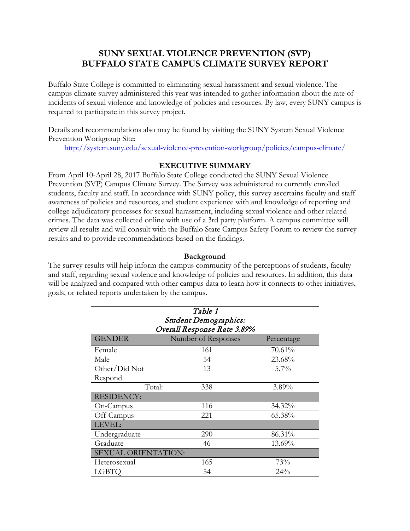## **SUNY SEXUAL VIOLENCE PREVENTION (SVP) BUFFALO STATE CAMPUS CLIMATE SURVEY REPORT**

Buffalo State College is committed to eliminating sexual harassment and sexual violence. The campus climate survey administered this year was intended to gather information about the rate of incidents of sexual violence and knowledge of policies and resources. By law, every SUNY campus is required to participate in this survey project.

Details and recommendations also may be found by visiting the SUNY System Sexual Violence Prevention Workgroup Site:

http://system.suny.edu/sexual-violence-prevention-workgroup/policies/campus-climate/

## **EXECUTIVE SUMMARY**

From April 10-April 28, 2017 Buffalo State College conducted the SUNY Sexual Violence Prevention (SVP) Campus Climate Survey. The Survey was administered to currently enrolled students, faculty and staff. In accordance with SUNY policy, this survey ascertains faculty and staff awareness of policies and resources, and student experience with and knowledge of reporting and college adjudicatory processes for sexual harassment, including sexual violence and other related crimes. The data was collected online with use of a 3rd party platform. A campus committee will review all results and will consult with the Buffalo State Campus Safety Forum to review the survey results and to provide recommendations based on the findings.

## **Background**

The survey results will help inform the campus community of the perceptions of students, faculty and staff, regarding sexual violence and knowledge of policies and resources. In addition, this data will be analyzed and compared with other campus data to learn how it connects to other initiatives, goals, or related reports undertaken by the campus.

| Table 1                      |                     |            |  |
|------------------------------|---------------------|------------|--|
| <b>Student Demographics:</b> |                     |            |  |
| Overall Response Rate 3.89%  |                     |            |  |
| <b>GENDER</b>                | Number of Responses | Percentage |  |
| Female                       | 161                 | 70.61%     |  |
| Male                         | 54                  | 23.68%     |  |
| Other/Did Not                | 13                  | $5.7\%$    |  |
| Respond                      |                     |            |  |
| Total:                       | 338                 | 3.89%      |  |
| <b>RESIDENCY:</b>            |                     |            |  |
| On-Campus                    | 116                 | 34.32%     |  |
| Off-Campus                   | 221                 | 65.38%     |  |
| LEVEL:                       |                     |            |  |
| Undergraduate                | 290                 | 86.31%     |  |
| Graduate                     | 46                  | 13.69%     |  |
| <b>SEXUAL ORIENTATION:</b>   |                     |            |  |
| Heterosexual                 | 165                 | 73%        |  |
| <b>LGBTO</b>                 | 54                  | 24%        |  |